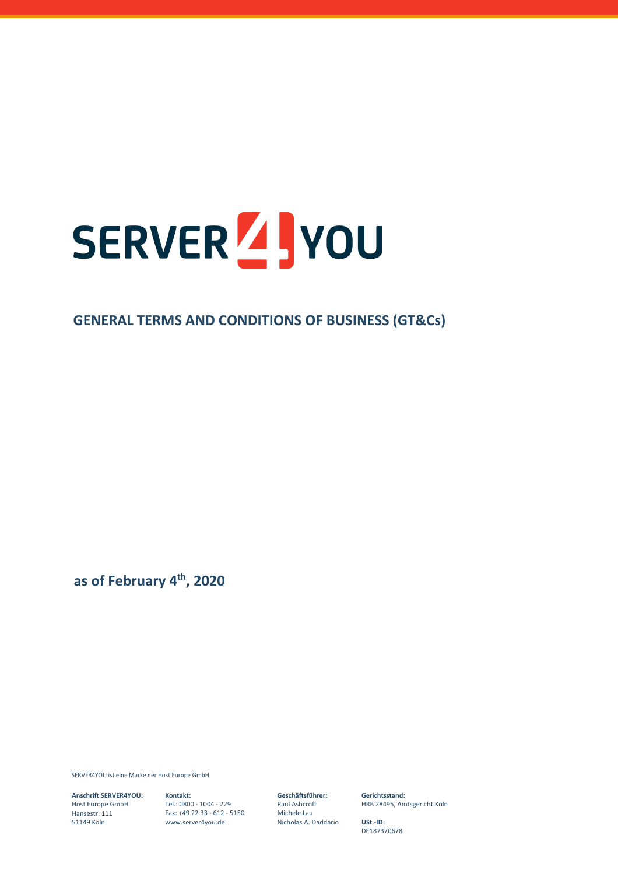# SERVER 4 YOU

# **GENERAL TERMS AND CONDITIONS OF BUSINESS (GT&Cs)**

**as of February 4th, 2020**

SERVER4YOU ist eine Marke der Host Europe GmbH

**Anschrift SERVER4YOU:** Host Europe GmbH Hansestr. 111 51149 Köln

**Kontakt:** Tel.: 0800 - 1004 - 229 Fax: +49 22 33 - 612 - 5150 www.server4you.de

**Geschäftsführer:** Paul Ashcroft Michele Lau Nicholas A. Daddario **Gerichtsstand:** HRB 28495, Amtsgericht Köln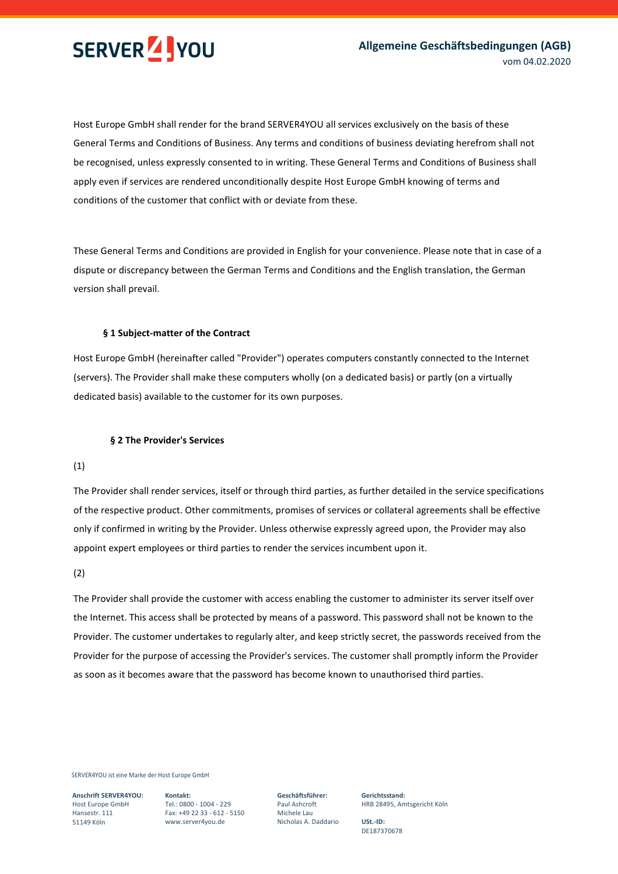

Host Europe GmbH shall render for the brand SERVER4YOU all services exclusively on the basis of these General Terms and Conditions of Business. Any terms and conditions of business deviating herefrom shall not be recognised, unless expressly consented to in writing. These General Terms and Conditions of Business shall apply even if services are rendered unconditionally despite Host Europe GmbH knowing of terms and conditions of the customer that conflict with or deviate from these.

These General Terms and Conditions are provided in English for your convenience. Please note that in case of a dispute or discrepancy between the German Terms and Conditions and the English translation, the German version shall prevail.

### **§ 1 Subject-matter of the Contract**

Host Europe GmbH (hereinafter called "Provider") operates computers constantly connected to the Internet (servers). The Provider shall make these computers wholly (on a dedicated basis) or partly (on a virtually dedicated basis) available to the customer for its own purposes.

### **§ 2 The Provider's Services**

### (1)

The Provider shall render services, itself or through third parties, as further detailed in the service specifications of the respective product. Other commitments, promises of services or collateral agreements shall be effective only if confirmed in writing by the Provider. Unless otherwise expressly agreed upon, the Provider may also appoint expert employees or third parties to render the services incumbent upon it.

# (2)

The Provider shall provide the customer with access enabling the customer to administer its server itself over the Internet. This access shall be protected by means of a password. This password shall not be known to the Provider. The customer undertakes to regularly alter, and keep strictly secret, the passwords received from the Provider for the purpose of accessing the Provider's services. The customer shall promptly inform the Provider as soon as it becomes aware that the password has become known to unauthorised third parties.

SERVER4YOU ist eine Marke der Host Europe GmbH

**Anschrift SERVER4YOU:** Host Europe GmbH Hansestr. 111 51149 Köln

**Kontakt:** Tel.: 0800 - 1004 - 229 Fax: +49 22 33 - 612 - 5150 www.server4you.de

**Geschäftsführer:** Paul Ashcroft Michele Lau Nicholas A. Daddario **Gerichtsstand:** HRB 28495, Amtsgericht Köln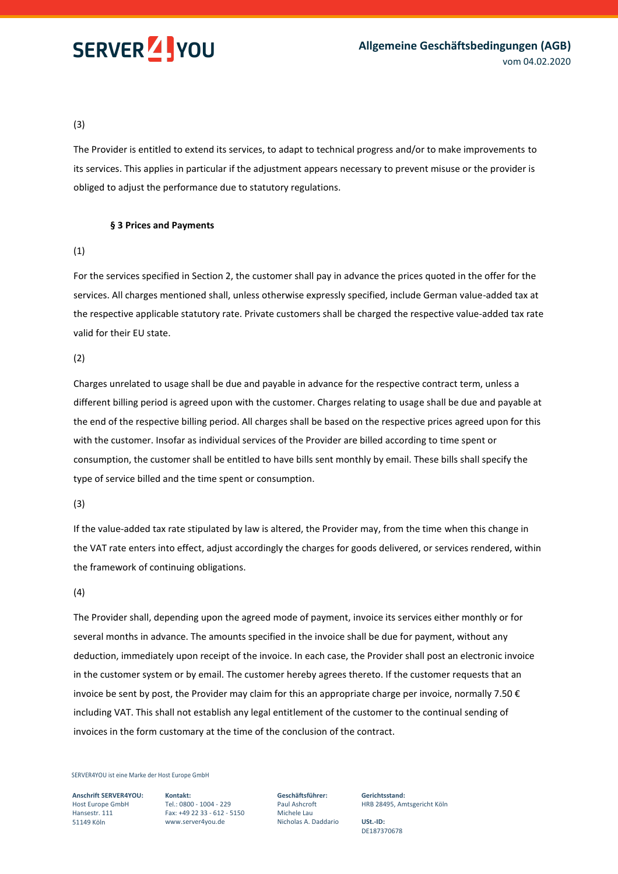

# (3)

The Provider is entitled to extend its services, to adapt to technical progress and/or to make improvements to its services. This applies in particular if the adjustment appears necessary to prevent misuse or the provider is obliged to adjust the performance due to statutory regulations.

# **§ 3 Prices and Payments**

# (1)

For the services specified in Section 2, the customer shall pay in advance the prices quoted in the offer for the services. All charges mentioned shall, unless otherwise expressly specified, include German value-added tax at the respective applicable statutory rate. Private customers shall be charged the respective value-added tax rate valid for their EU state.

(2)

Charges unrelated to usage shall be due and payable in advance for the respective contract term, unless a different billing period is agreed upon with the customer. Charges relating to usage shall be due and payable at the end of the respective billing period. All charges shall be based on the respective prices agreed upon for this with the customer. Insofar as individual services of the Provider are billed according to time spent or consumption, the customer shall be entitled to have bills sent monthly by email. These bills shall specify the type of service billed and the time spent or consumption.

# (3)

If the value-added tax rate stipulated by law is altered, the Provider may, from the time when this change in the VAT rate enters into effect, adjust accordingly the charges for goods delivered, or services rendered, within the framework of continuing obligations.

# (4)

The Provider shall, depending upon the agreed mode of payment, invoice its services either monthly or for several months in advance. The amounts specified in the invoice shall be due for payment, without any deduction, immediately upon receipt of the invoice. In each case, the Provider shall post an electronic invoice in the customer system or by email. The customer hereby agrees thereto. If the customer requests that an invoice be sent by post, the Provider may claim for this an appropriate charge per invoice, normally 7.50 € including VAT. This shall not establish any legal entitlement of the customer to the continual sending of invoices in the form customary at the time of the conclusion of the contract.

SERVER4YOU ist eine Marke der Host Europe GmbH

**Anschrift SERVER4YOU:** Host Europe GmbH Hansestr. 111 51149 Köln

**Kontakt:** Tel.: 0800 - 1004 - 229 Fax: +49 22 33 - 612 - 5150 www.server4you.de

**Geschäftsführer:** Paul Ashcroft Michele Lau Nicholas A. Daddario **Gerichtsstand:** HRB 28495, Amtsgericht Köln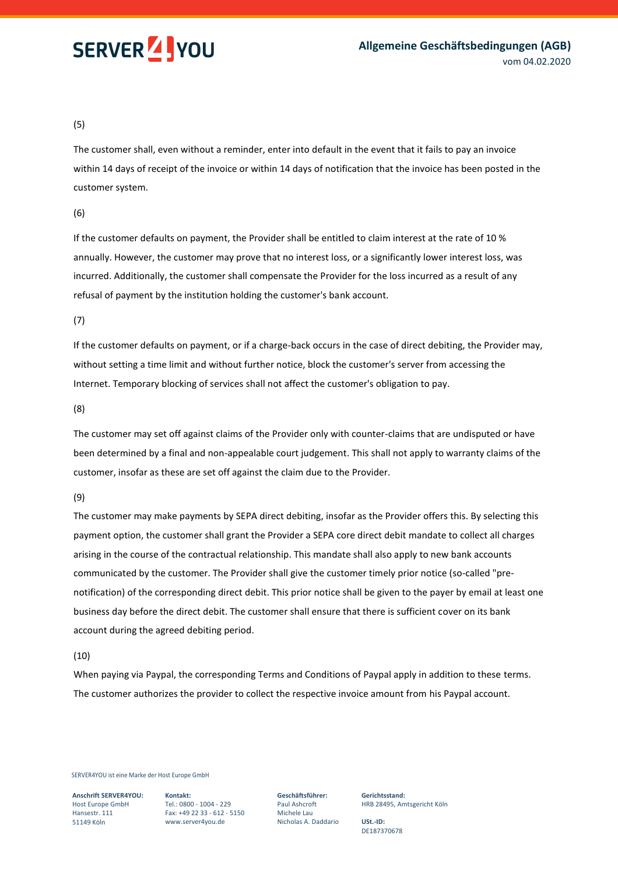

# (5)

The customer shall, even without a reminder, enter into default in the event that it fails to pay an invoice within 14 days of receipt of the invoice or within 14 days of notification that the invoice has been posted in the customer system.

# (6)

If the customer defaults on payment, the Provider shall be entitled to claim interest at the rate of 10 % annually. However, the customer may prove that no interest loss, or a significantly lower interest loss, was incurred. Additionally, the customer shall compensate the Provider for the loss incurred as a result of any refusal of payment by the institution holding the customer's bank account.

# (7)

If the customer defaults on payment, or if a charge-back occurs in the case of direct debiting, the Provider may, without setting a time limit and without further notice, block the customer's server from accessing the Internet. Temporary blocking of services shall not affect the customer's obligation to pay.

# (8)

The customer may set off against claims of the Provider only with counter-claims that are undisputed or have been determined by a final and non-appealable court judgement. This shall not apply to warranty claims of the customer, insofar as these are set off against the claim due to the Provider.

# (9)

The customer may make payments by SEPA direct debiting, insofar as the Provider offers this. By selecting this payment option, the customer shall grant the Provider a SEPA core direct debit mandate to collect all charges arising in the course of the contractual relationship. This mandate shall also apply to new bank accounts communicated by the customer. The Provider shall give the customer timely prior notice (so-called "prenotification) of the corresponding direct debit. This prior notice shall be given to the payer by email at least one business day before the direct debit. The customer shall ensure that there is sufficient cover on its bank account during the agreed debiting period.

# (10)

When paying via Paypal, the corresponding Terms and Conditions of Paypal apply in addition to these terms. The customer authorizes the provider to collect the respective invoice amount from his Paypal account.

SERVER4YOU ist eine Marke der Host Europe GmbH

**Anschrift SERVER4YOU:** Host Europe GmbH Hansestr. 111 51149 Köln

**Kontakt:** Tel.: 0800 - 1004 - 229 Fax: +49 22 33 - 612 - 5150 www.server4you.de

**Geschäftsführer:** Paul Ashcroft Michele Lau Nicholas A. Daddario **Gerichtsstand:** HRB 28495, Amtsgericht Köln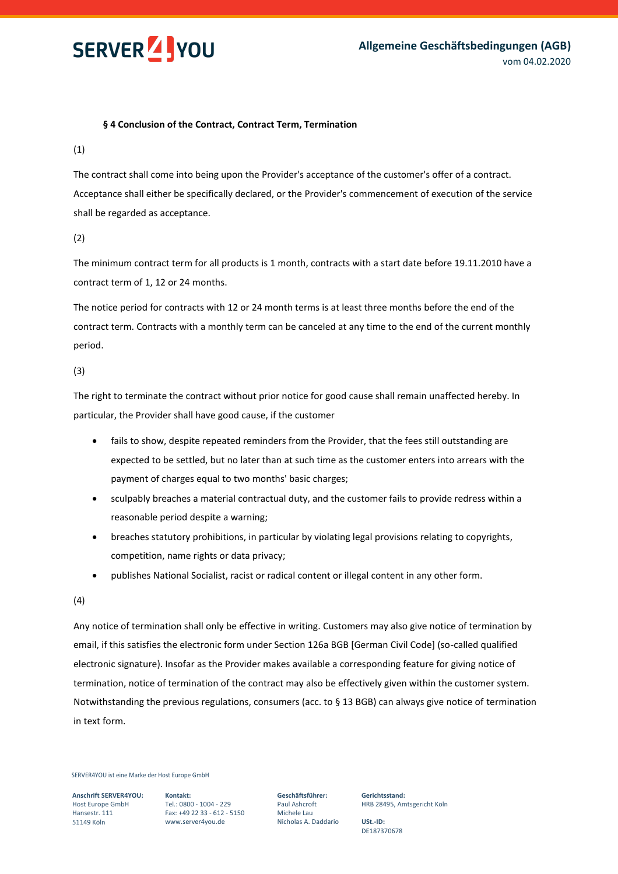

### **§ 4 Conclusion of the Contract, Contract Term, Termination**

(1)

The contract shall come into being upon the Provider's acceptance of the customer's offer of a contract. Acceptance shall either be specifically declared, or the Provider's commencement of execution of the service shall be regarded as acceptance.

(2)

The minimum contract term for all products is 1 month, contracts with a start date before 19.11.2010 have a contract term of 1, 12 or 24 months.

The notice period for contracts with 12 or 24 month terms is at least three months before the end of the contract term. Contracts with a monthly term can be canceled at any time to the end of the current monthly period.

(3)

The right to terminate the contract without prior notice for good cause shall remain unaffected hereby. In particular, the Provider shall have good cause, if the customer

- fails to show, despite repeated reminders from the Provider, that the fees still outstanding are expected to be settled, but no later than at such time as the customer enters into arrears with the payment of charges equal to two months' basic charges;
- sculpably breaches a material contractual duty, and the customer fails to provide redress within a reasonable period despite a warning;
- breaches statutory prohibitions, in particular by violating legal provisions relating to copyrights, competition, name rights or data privacy;
- publishes National Socialist, racist or radical content or illegal content in any other form.

(4)

Any notice of termination shall only be effective in writing. Customers may also give notice of termination by email, if this satisfies the electronic form under Section 126a BGB [German Civil Code] (so-called qualified electronic signature). Insofar as the Provider makes available a corresponding feature for giving notice of termination, notice of termination of the contract may also be effectively given within the customer system. Notwithstanding the previous regulations, consumers (acc. to § 13 BGB) can always give notice of termination in text form.

SERVER4YOU ist eine Marke der Host Europe GmbH

**Anschrift SERVER4YOU:** Host Europe GmbH Hansestr. 111 51149 Köln

**Kontakt:** Tel.: 0800 - 1004 - 229 Fax: +49 22 33 - 612 - 5150 www.server4you.de

**Geschäftsführer:** Paul Ashcroft Michele Lau Nicholas A. Daddario **Gerichtsstand:** HRB 28495, Amtsgericht Köln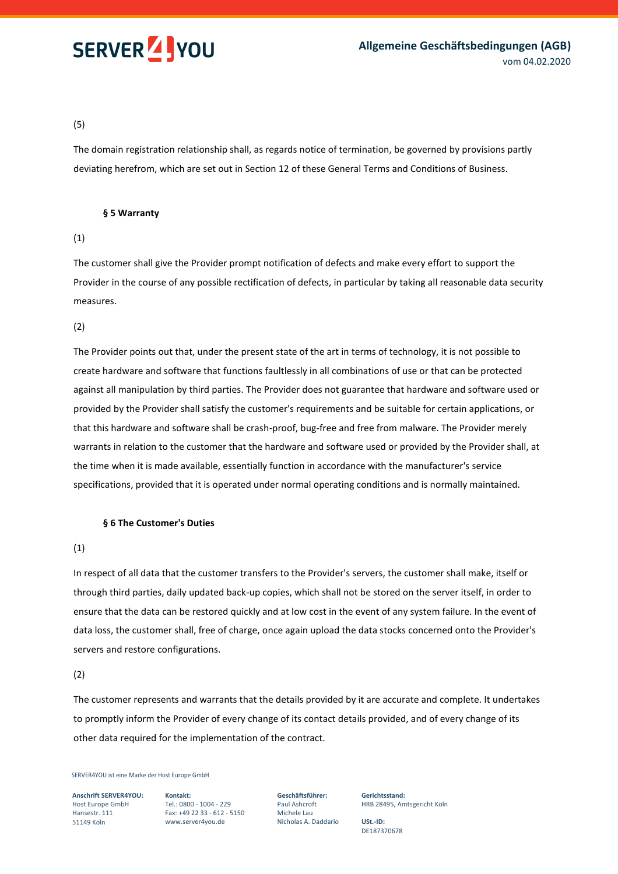

# (5)

The domain registration relationship shall, as regards notice of termination, be governed by provisions partly deviating herefrom, which are set out in Section 12 of these General Terms and Conditions of Business.

### **§ 5 Warranty**

# (1)

The customer shall give the Provider prompt notification of defects and make every effort to support the Provider in the course of any possible rectification of defects, in particular by taking all reasonable data security measures.

(2)

The Provider points out that, under the present state of the art in terms of technology, it is not possible to create hardware and software that functions faultlessly in all combinations of use or that can be protected against all manipulation by third parties. The Provider does not guarantee that hardware and software used or provided by the Provider shall satisfy the customer's requirements and be suitable for certain applications, or that this hardware and software shall be crash-proof, bug-free and free from malware. The Provider merely warrants in relation to the customer that the hardware and software used or provided by the Provider shall, at the time when it is made available, essentially function in accordance with the manufacturer's service specifications, provided that it is operated under normal operating conditions and is normally maintained.

# **§ 6 The Customer's Duties**

# (1)

In respect of all data that the customer transfers to the Provider's servers, the customer shall make, itself or through third parties, daily updated back-up copies, which shall not be stored on the server itself, in order to ensure that the data can be restored quickly and at low cost in the event of any system failure. In the event of data loss, the customer shall, free of charge, once again upload the data stocks concerned onto the Provider's servers and restore configurations.

(2)

The customer represents and warrants that the details provided by it are accurate and complete. It undertakes to promptly inform the Provider of every change of its contact details provided, and of every change of its other data required for the implementation of the contract.

SERVER4YOU ist eine Marke der Host Europe GmbH

**Anschrift SERVER4YOU:** Host Europe GmbH Hansestr. 111 51149 Köln

**Kontakt:** Tel.: 0800 - 1004 - 229 Fax: +49 22 33 - 612 - 5150 www.server4you.de

**Geschäftsführer:** Paul Ashcroft Michele Lau Nicholas A. Daddario **Gerichtsstand:** HRB 28495, Amtsgericht Köln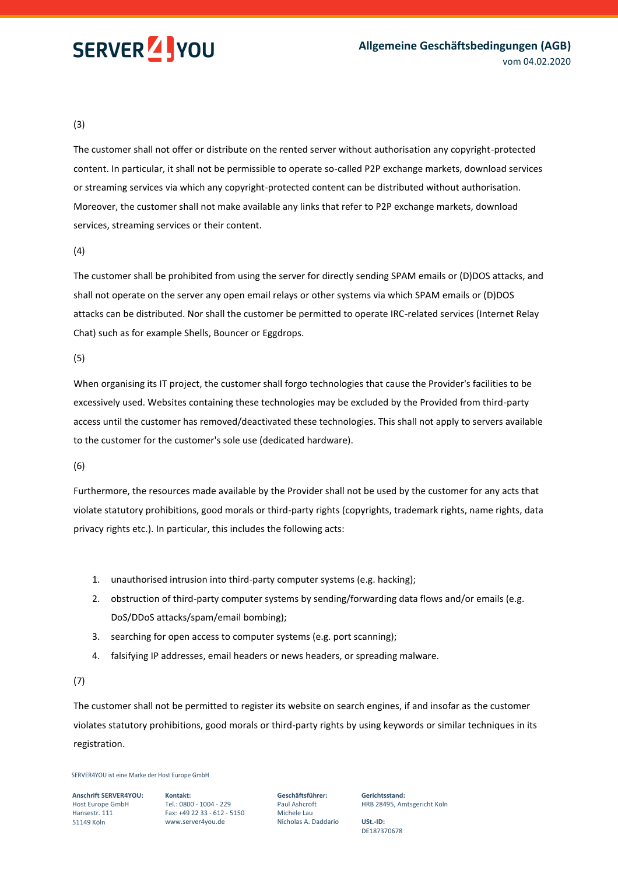

# (3)

The customer shall not offer or distribute on the rented server without authorisation any copyright-protected content. In particular, it shall not be permissible to operate so-called P2P exchange markets, download services or streaming services via which any copyright-protected content can be distributed without authorisation. Moreover, the customer shall not make available any links that refer to P2P exchange markets, download services, streaming services or their content.

# (4)

The customer shall be prohibited from using the server for directly sending SPAM emails or (D)DOS attacks, and shall not operate on the server any open email relays or other systems via which SPAM emails or (D)DOS attacks can be distributed. Nor shall the customer be permitted to operate IRC-related services (Internet Relay Chat) such as for example Shells, Bouncer or Eggdrops.

# (5)

When organising its IT project, the customer shall forgo technologies that cause the Provider's facilities to be excessively used. Websites containing these technologies may be excluded by the Provided from third-party access until the customer has removed/deactivated these technologies. This shall not apply to servers available to the customer for the customer's sole use (dedicated hardware).

# (6)

Furthermore, the resources made available by the Provider shall not be used by the customer for any acts that violate statutory prohibitions, good morals or third-party rights (copyrights, trademark rights, name rights, data privacy rights etc.). In particular, this includes the following acts:

- 1. unauthorised intrusion into third-party computer systems (e.g. hacking);
- 2. obstruction of third-party computer systems by sending/forwarding data flows and/or emails (e.g. DoS/DDoS attacks/spam/email bombing);
- 3. searching for open access to computer systems (e.g. port scanning);
- 4. falsifying IP addresses, email headers or news headers, or spreading malware.

# (7)

The customer shall not be permitted to register its website on search engines, if and insofar as the customer violates statutory prohibitions, good morals or third-party rights by using keywords or similar techniques in its registration.

### SERVER4YOU ist eine Marke der Host Europe GmbH

**Anschrift SERVER4YOU:** Host Europe GmbH Hansestr. 111 51149 Köln

**Kontakt:** Tel.: 0800 - 1004 - 229 Fax: +49 22 33 - 612 - 5150 www.server4you.de

**Geschäftsführer:** Paul Ashcroft Michele Lau Nicholas A. Daddario **Gerichtsstand:** HRB 28495, Amtsgericht Köln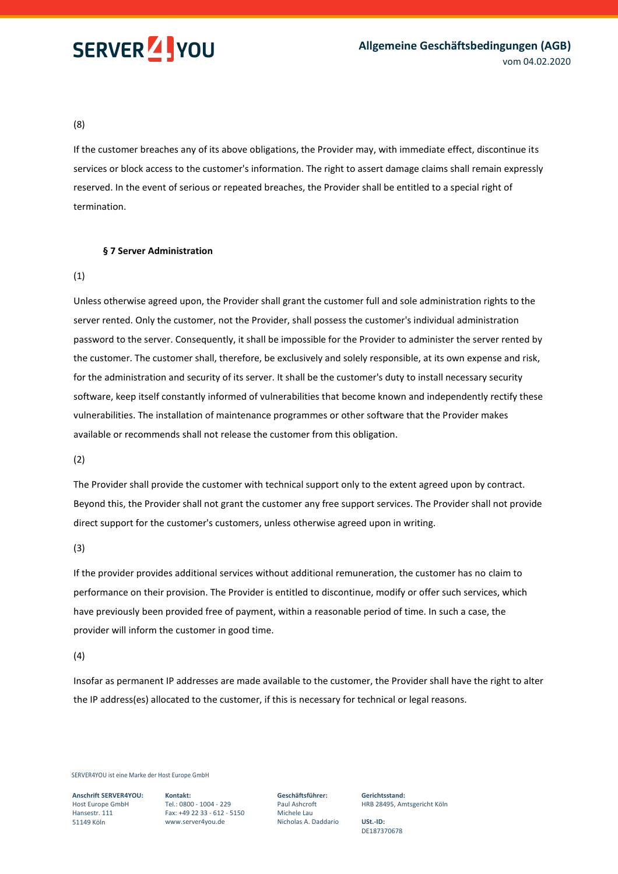

# (8)

If the customer breaches any of its above obligations, the Provider may, with immediate effect, discontinue its services or block access to the customer's information. The right to assert damage claims shall remain expressly reserved. In the event of serious or repeated breaches, the Provider shall be entitled to a special right of termination.

# **§ 7 Server Administration**

# (1)

Unless otherwise agreed upon, the Provider shall grant the customer full and sole administration rights to the server rented. Only the customer, not the Provider, shall possess the customer's individual administration password to the server. Consequently, it shall be impossible for the Provider to administer the server rented by the customer. The customer shall, therefore, be exclusively and solely responsible, at its own expense and risk, for the administration and security of its server. It shall be the customer's duty to install necessary security software, keep itself constantly informed of vulnerabilities that become known and independently rectify these vulnerabilities. The installation of maintenance programmes or other software that the Provider makes available or recommends shall not release the customer from this obligation.

# (2)

The Provider shall provide the customer with technical support only to the extent agreed upon by contract. Beyond this, the Provider shall not grant the customer any free support services. The Provider shall not provide direct support for the customer's customers, unless otherwise agreed upon in writing.

# (3)

If the provider provides additional services without additional remuneration, the customer has no claim to performance on their provision. The Provider is entitled to discontinue, modify or offer such services, which have previously been provided free of payment, within a reasonable period of time. In such a case, the provider will inform the customer in good time.

# (4)

Insofar as permanent IP addresses are made available to the customer, the Provider shall have the right to alter the IP address(es) allocated to the customer, if this is necessary for technical or legal reasons.

SERVER4YOU ist eine Marke der Host Europe GmbH

**Anschrift SERVER4YOU:** Host Europe GmbH Hansestr. 111 51149 Köln

**Kontakt:** Tel.: 0800 - 1004 - 229 Fax: +49 22 33 - 612 - 5150 www.server4you.de

**Geschäftsführer:** Paul Ashcroft Michele Lau Nicholas A. Daddario **Gerichtsstand:** HRB 28495, Amtsgericht Köln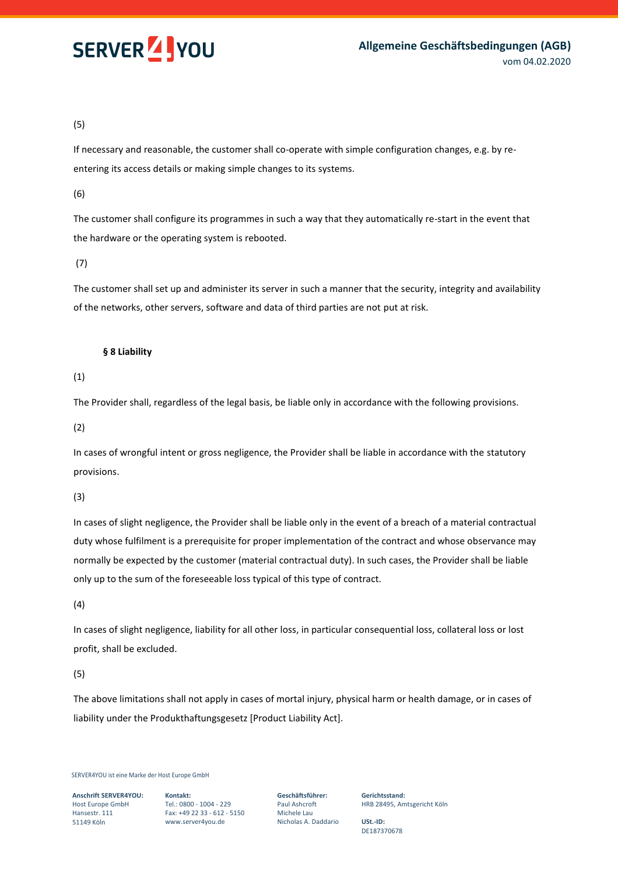

(5)

If necessary and reasonable, the customer shall co-operate with simple configuration changes, e.g. by reentering its access details or making simple changes to its systems.

(6)

The customer shall configure its programmes in such a way that they automatically re-start in the event that the hardware or the operating system is rebooted.

(7)

The customer shall set up and administer its server in such a manner that the security, integrity and availability of the networks, other servers, software and data of third parties are not put at risk.

# **§ 8 Liability**

(1)

The Provider shall, regardless of the legal basis, be liable only in accordance with the following provisions.

(2)

In cases of wrongful intent or gross negligence, the Provider shall be liable in accordance with the statutory provisions.

(3)

In cases of slight negligence, the Provider shall be liable only in the event of a breach of a material contractual duty whose fulfilment is a prerequisite for proper implementation of the contract and whose observance may normally be expected by the customer (material contractual duty). In such cases, the Provider shall be liable only up to the sum of the foreseeable loss typical of this type of contract.

(4)

In cases of slight negligence, liability for all other loss, in particular consequential loss, collateral loss or lost profit, shall be excluded.

(5)

The above limitations shall not apply in cases of mortal injury, physical harm or health damage, or in cases of liability under the Produkthaftungsgesetz [Product Liability Act].

SERVER4YOU ist eine Marke der Host Europe GmbH

**Anschrift SERVER4YOU:** Host Europe GmbH Hansestr. 111 51149 Köln

**Kontakt:** Tel.: 0800 - 1004 - 229 Fax: +49 22 33 - 612 - 5150 www.server4you.de

**Geschäftsführer:** Paul Ashcroft Michele Lau Nicholas A. Daddario **Gerichtsstand:** HRB 28495, Amtsgericht Köln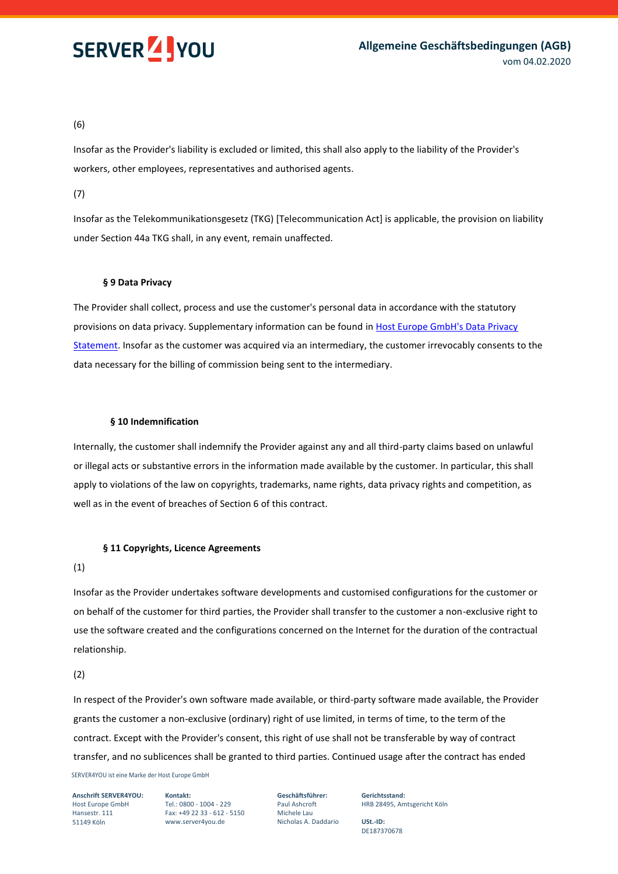

(6)

Insofar as the Provider's liability is excluded or limited, this shall also apply to the liability of the Provider's workers, other employees, representatives and authorised agents.

(7)

Insofar as the Telekommunikationsgesetz (TKG) [Telecommunication Act] is applicable, the provision on liability under Section 44a TKG shall, in any event, remain unaffected.

# **§ 9 Data Privacy**

The Provider shall collect, process and use the customer's personal data in accordance with the statutory provisions on data privacy. Supplementary information can be found in Host Europe GmbH's Data Privacy [Statement.](https://www.server4you.net/server4you_datastore/user_upload/170113_S4Y_Privacy_Policy_NET.pdf) Insofar as the customer was acquired via an intermediary, the customer irrevocably consents to the data necessary for the billing of commission being sent to the intermediary.

# **§ 10 Indemnification**

Internally, the customer shall indemnify the Provider against any and all third-party claims based on unlawful or illegal acts or substantive errors in the information made available by the customer. In particular, this shall apply to violations of the law on copyrights, trademarks, name rights, data privacy rights and competition, as well as in the event of breaches of Section 6 of this contract.

# **§ 11 Copyrights, Licence Agreements**

### (1)

Insofar as the Provider undertakes software developments and customised configurations for the customer or on behalf of the customer for third parties, the Provider shall transfer to the customer a non-exclusive right to use the software created and the configurations concerned on the Internet for the duration of the contractual relationship.

(2)

SERVER4YOU ist eine Marke der Host Europe GmbH In respect of the Provider's own software made available, or third-party software made available, the Provider grants the customer a non-exclusive (ordinary) right of use limited, in terms of time, to the term of the contract. Except with the Provider's consent, this right of use shall not be transferable by way of contract transfer, and no sublicences shall be granted to third parties. Continued usage after the contract has ended

**Anschrift SERVER4YOU:** Host Europe GmbH Hansestr. 111 51149 Köln

**Kontakt:** Tel.: 0800 - 1004 - 229 Fax: +49 22 33 - 612 - 5150 www.server4you.de

**Geschäftsführer:** Paul Ashcroft Michele Lau Nicholas A. Daddario **Gerichtsstand:** HRB 28495, Amtsgericht Köln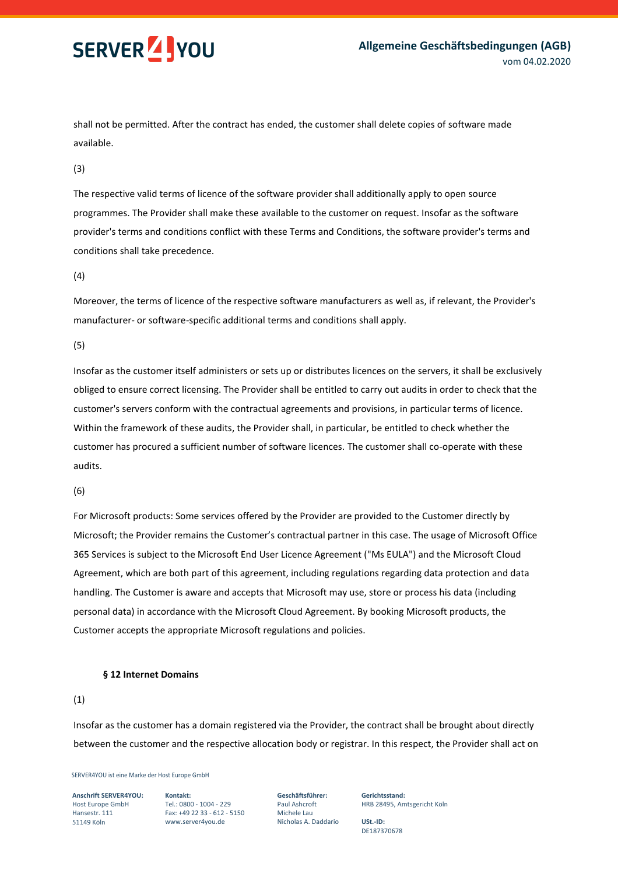

shall not be permitted. After the contract has ended, the customer shall delete copies of software made available.

(3)

The respective valid terms of licence of the software provider shall additionally apply to open source programmes. The Provider shall make these available to the customer on request. Insofar as the software provider's terms and conditions conflict with these Terms and Conditions, the software provider's terms and conditions shall take precedence.

(4)

Moreover, the terms of licence of the respective software manufacturers as well as, if relevant, the Provider's manufacturer- or software-specific additional terms and conditions shall apply.

(5)

Insofar as the customer itself administers or sets up or distributes licences on the servers, it shall be exclusively obliged to ensure correct licensing. The Provider shall be entitled to carry out audits in order to check that the customer's servers conform with the contractual agreements and provisions, in particular terms of licence. Within the framework of these audits, the Provider shall, in particular, be entitled to check whether the customer has procured a sufficient number of software licences. The customer shall co-operate with these audits.

(6)

For Microsoft products: Some services offered by the Provider are provided to the Customer directly by Microsoft; the Provider remains the Customer's contractual partner in this case. The usage of Microsoft Office 365 Services is subject to the Microsoft End User Licence Agreement ("Ms EULA") and the Microsoft Cloud Agreement, which are both part of this agreement, including regulations regarding data protection and data handling. The Customer is aware and accepts that Microsoft may use, store or process his data (including personal data) in accordance with the Microsoft Cloud Agreement. By booking Microsoft products, the Customer accepts the appropriate Microsoft regulations and policies.

# **§ 12 Internet Domains**

(1)

Insofar as the customer has a domain registered via the Provider, the contract shall be brought about directly between the customer and the respective allocation body or registrar. In this respect, the Provider shall act on

SERVER4YOU ist eine Marke der Host Europe GmbH

**Anschrift SERVER4YOU:** Host Europe GmbH Hansestr. 111 51149 Köln

**Kontakt:** Tel.: 0800 - 1004 - 229 Fax: +49 22 33 - 612 - 5150 www.server4you.de

**Geschäftsführer:** Paul Ashcroft Michele Lau Nicholas A. Daddario **Gerichtsstand:** HRB 28495, Amtsgericht Köln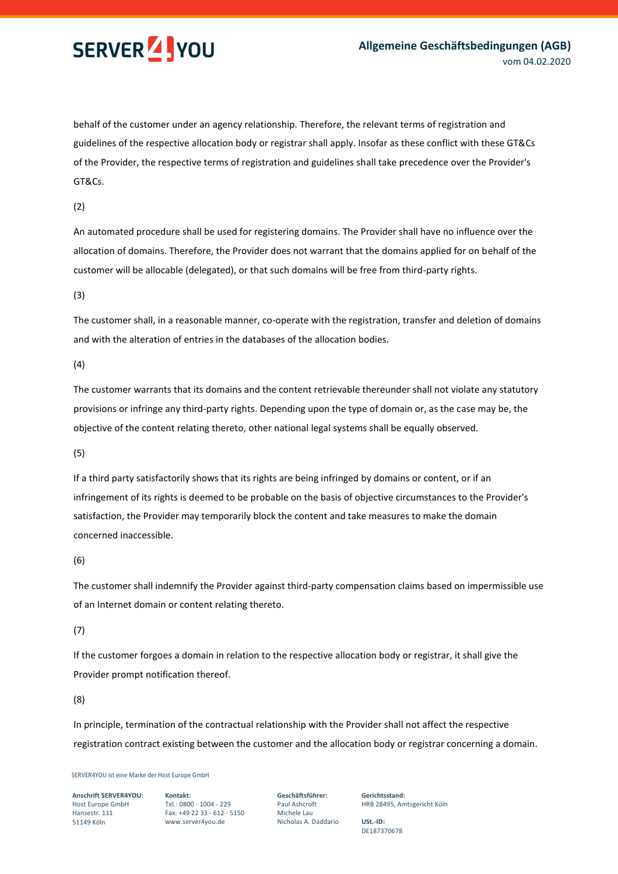

behalf of the customer under an agency relationship. Therefore, the relevant terms of registration and guidelines of the respective allocation body or registrar shall apply. Insofar as these conflict with these GT&Cs of the Provider, the respective terms of registration and guidelines shall take precedence over the Provider's GT&Cs.

(2)

An automated procedure shall be used for registering domains. The Provider shall have no influence over the allocation of domains. Therefore, the Provider does not warrant that the domains applied for on behalf of the customer will be allocable (delegated), or that such domains will be free from third-party rights.

(3)

The customer shall, in a reasonable manner, co-operate with the registration, transfer and deletion of domains and with the alteration of entries in the databases of the allocation bodies.

(4)

The customer warrants that its domains and the content retrievable thereunder shall not violate any statutory provisions or infringe any third-party rights. Depending upon the type of domain or, as the case may be, the objective of the content relating thereto, other national legal systems shall be equally observed.

(5)

If a third party satisfactorily shows that its rights are being infringed by domains or content, or if an infringement of its rights is deemed to be probable on the basis of objective circumstances to the Provider's satisfaction, the Provider may temporarily block the content and take measures to make the domain concerned inaccessible.

# (6)

The customer shall indemnify the Provider against third-party compensation claims based on impermissible use of an Internet domain or content relating thereto.

(7)

If the customer forgoes a domain in relation to the respective allocation body or registrar, it shall give the Provider prompt notification thereof.

(8)

In principle, termination of the contractual relationship with the Provider shall not affect the respective registration contract existing between the customer and the allocation body or registrar concerning a domain.

SERVER4YOU ist eine Marke der Host Europe GmbH

**Anschrift SERVER4YOU:** Host Europe GmbH Hansestr. 111 51149 Köln

**Kontakt:** Tel.: 0800 - 1004 - 229 Fax: +49 22 33 - 612 - 5150 www.server4you.de

**Geschäftsführer:** Paul Ashcroft Michele Lau Nicholas A. Daddario **Gerichtsstand:** HRB 28495, Amtsgericht Köln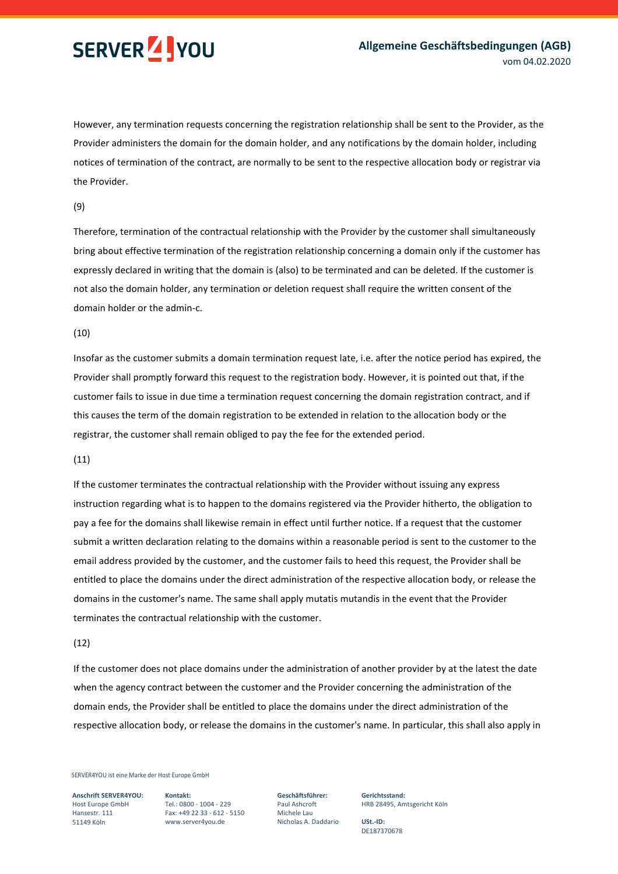

However, any termination requests concerning the registration relationship shall be sent to the Provider, as the Provider administers the domain for the domain holder, and any notifications by the domain holder, including notices of termination of the contract, are normally to be sent to the respective allocation body or registrar via the Provider.

### (9)

Therefore, termination of the contractual relationship with the Provider by the customer shall simultaneously bring about effective termination of the registration relationship concerning a domain only if the customer has expressly declared in writing that the domain is (also) to be terminated and can be deleted. If the customer is not also the domain holder, any termination or deletion request shall require the written consent of the domain holder or the admin-c.

### (10)

Insofar as the customer submits a domain termination request late, i.e. after the notice period has expired, the Provider shall promptly forward this request to the registration body. However, it is pointed out that, if the customer fails to issue in due time a termination request concerning the domain registration contract, and if this causes the term of the domain registration to be extended in relation to the allocation body or the registrar, the customer shall remain obliged to pay the fee for the extended period.

### (11)

If the customer terminates the contractual relationship with the Provider without issuing any express instruction regarding what is to happen to the domains registered via the Provider hitherto, the obligation to pay a fee for the domains shall likewise remain in effect until further notice. If a request that the customer submit a written declaration relating to the domains within a reasonable period is sent to the customer to the email address provided by the customer, and the customer fails to heed this request, the Provider shall be entitled to place the domains under the direct administration of the respective allocation body, or release the domains in the customer's name. The same shall apply mutatis mutandis in the event that the Provider terminates the contractual relationship with the customer.

### (12)

If the customer does not place domains under the administration of another provider by at the latest the date when the agency contract between the customer and the Provider concerning the administration of the domain ends, the Provider shall be entitled to place the domains under the direct administration of the respective allocation body, or release the domains in the customer's name. In particular, this shall also apply in

SERVER4YOU ist eine Marke der Host Europe GmbH

**Anschrift SERVER4YOU:** Host Europe GmbH Hansestr. 111 51149 Köln

**Kontakt:** Tel.: 0800 - 1004 - 229 Fax: +49 22 33 - 612 - 5150 www.server4you.de

**Geschäftsführer:** Paul Ashcroft Michele Lau Nicholas A. Daddario **Gerichtsstand:** HRB 28495, Amtsgericht Köln